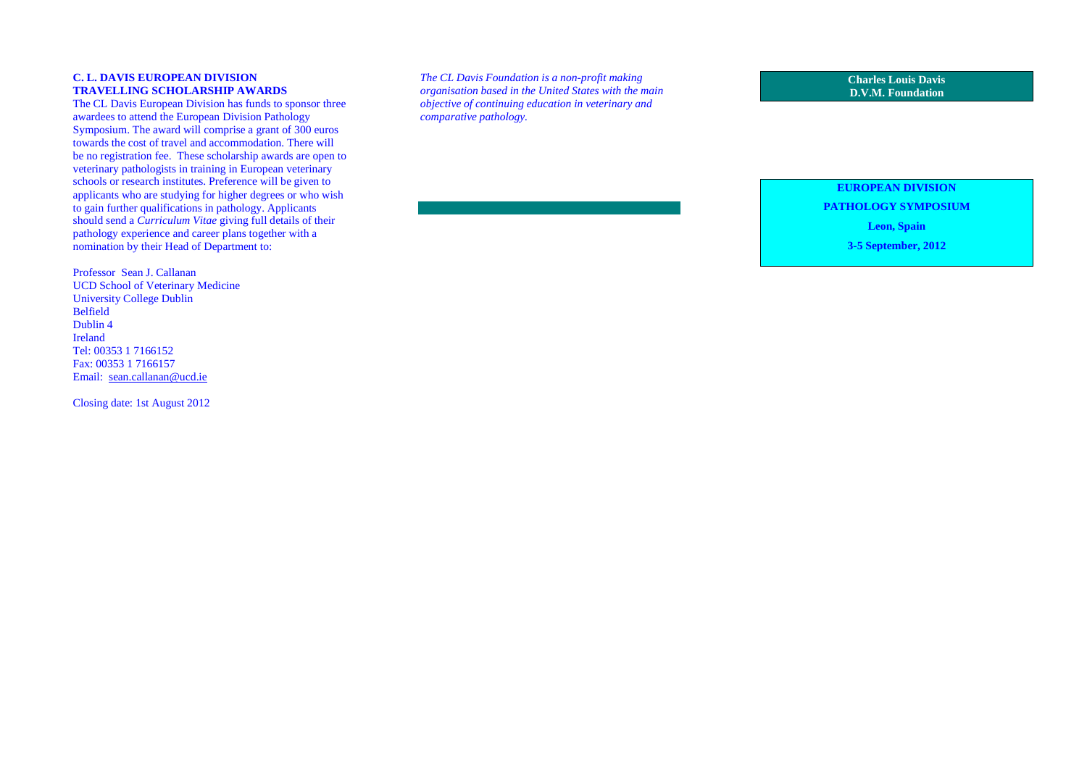#### **C. L. DAVIS EUROPEAN DIVISION TRAVELLING SCHOLARSHIP AWARDS**

 The CL Davis European Division has funds to sponsor three awardees to attend the European Division Pathology Symposium. The award will comprise a grant of 300 euros towards the cost of travel and accommodation. There will be no registration fee. These scholarship awards are open to veterinary pathologists in training in European veterinary schools or research institutes. Preference will be given to applicants who are studying for higher degrees or who wish to gain further qualifications in pathology. Applicants should send a *Curriculum Vitae* giving full details of their pathology experience and career plans together with a nomination by their Head of Department to:

Professor Sean J. Callanan UCD School of Veterinary Medicine University College Dublin Belfield Dublin 4 Ireland Tel: 00353 1 7166152 Fax: 00353 1 7166157 Email: sean.callanan@ucd.ie

Closing date: 1st August 2012

*The CL Davis Foundation is a non-profit making organisation based in the United States with the main objective of continuing education in veterinary andcomparative pathology.* 

**Charles Louis Davis D.V.M. Foundation** 

### **EUROPEAN DIVISION**

**PATHOLOGY SYMPOSIUM** 

**Leon, Spain** 

**3-5 September, 2012**